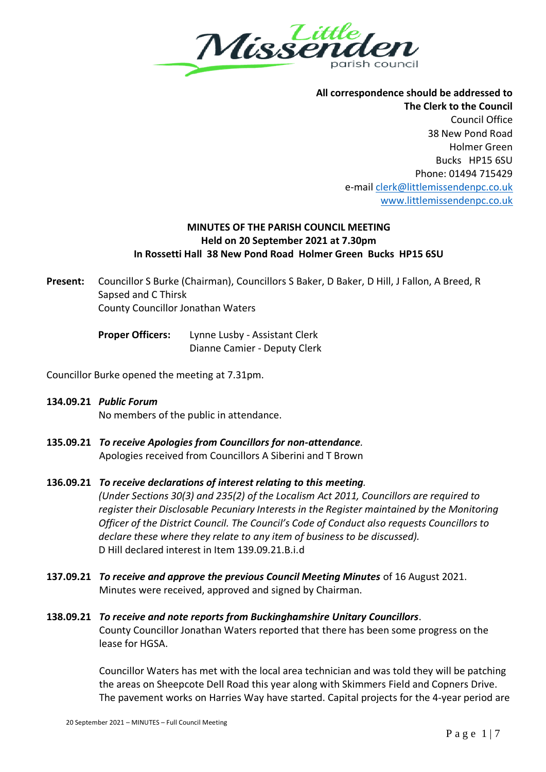

**All correspondence should be addressed to The Clerk to the Council** Council Office 38 New Pond Road Holmer Green Bucks HP15 6SU Phone: 01494 715429 e-mai[l clerk@littlemissendenpc.co.uk](mailto:clerk@littlemissendenpc.co.uk) [www.littlemissendenpc.co.uk](http://www.littlemissendenpc.co.uk/)

### **MINUTES OF THE PARISH COUNCIL MEETING Held on 20 September 2021 at 7.30pm In Rossetti Hall 38 New Pond Road Holmer Green Bucks HP15 6SU**

**Present:** Councillor S Burke (Chairman), Councillors S Baker, D Baker, D Hill, J Fallon, A Breed, R Sapsed and C Thirsk County Councillor Jonathan Waters

> **Proper Officers:** Lynne Lusby - Assistant Clerk Dianne Camier - Deputy Clerk

Councillor Burke opened the meeting at 7.31pm.

- **134.09.21** *Public Forum* No members of the public in attendance.
- **135.09.21** *To receive Apologies from Councillors for non-attendance.* Apologies received from Councillors A Siberini and T Brown

## **136.09.21** *To receive declarations of interest relating to this meeting.*

*(Under Sections 30(3) and 235(2) of the Localism Act 2011, Councillors are required to register their Disclosable Pecuniary Interests in the Register maintained by the Monitoring Officer of the District Council. The Council's Code of Conduct also requests Councillors to declare these where they relate to any item of business to be discussed).* D Hill declared interest in Item 139.09.21.B.i.d

**137.09.21** *To receive and approve the previous Council Meeting Minutes* of 16 August 2021. Minutes were received, approved and signed by Chairman.

# **138.09.21** *To receive and note reports from Buckinghamshire Unitary Councillors*. County Councillor Jonathan Waters reported that there has been some progress on the lease for HGSA.

Councillor Waters has met with the local area technician and was told they will be patching the areas on Sheepcote Dell Road this year along with Skimmers Field and Copners Drive. The pavement works on Harries Way have started. Capital projects for the 4-year period are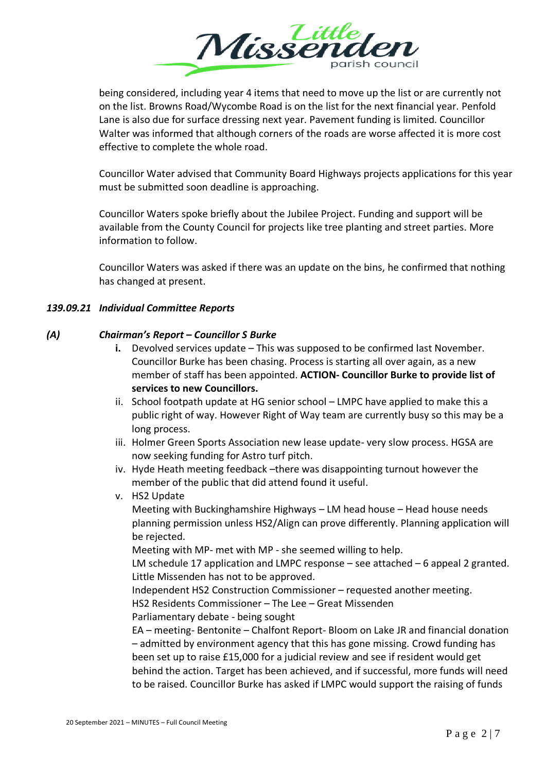

being considered, including year 4 items that need to move up the list or are currently not on the list. Browns Road/Wycombe Road is on the list for the next financial year. Penfold Lane is also due for surface dressing next year. Pavement funding is limited. Councillor Walter was informed that although corners of the roads are worse affected it is more cost effective to complete the whole road.

Councillor Water advised that Community Board Highways projects applications for this year must be submitted soon deadline is approaching.

Councillor Waters spoke briefly about the Jubilee Project. Funding and support will be available from the County Council for projects like tree planting and street parties. More information to follow.

Councillor Waters was asked if there was an update on the bins, he confirmed that nothing has changed at present.

### *139.09.21 Individual Committee Reports*

### *(A) Chairman's Report – Councillor S Burke*

- **i.** Devolved services update This was supposed to be confirmed last November. Councillor Burke has been chasing. Process is starting all over again, as a new member of staff has been appointed. **ACTION- Councillor Burke to provide list of services to new Councillors.**
- ii. School footpath update at HG senior school LMPC have applied to make this a public right of way. However Right of Way team are currently busy so this may be a long process.
- iii. Holmer Green Sports Association new lease update- very slow process. HGSA are now seeking funding for Astro turf pitch.
- iv. Hyde Heath meeting feedback –there was disappointing turnout however the member of the public that did attend found it useful.
- v. HS2 Update

Meeting with Buckinghamshire Highways – LM head house – Head house needs planning permission unless HS2/Align can prove differently. Planning application will be rejected.

Meeting with MP- met with MP - she seemed willing to help.

LM schedule 17 application and LMPC response – see attached – 6 appeal 2 granted. Little Missenden has not to be approved.

Independent HS2 Construction Commissioner – requested another meeting.

HS2 Residents Commissioner – The Lee – Great Missenden

Parliamentary debate - being sought

EA – meeting- Bentonite – Chalfont Report- Bloom on Lake JR and financial donation – admitted by environment agency that this has gone missing. Crowd funding has been set up to raise £15,000 for a judicial review and see if resident would get behind the action. Target has been achieved, and if successful, more funds will need to be raised. Councillor Burke has asked if LMPC would support the raising of funds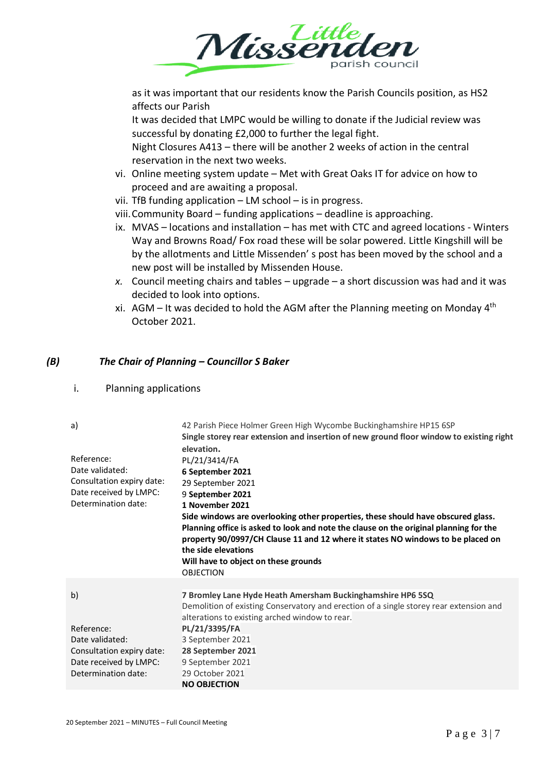

as it was important that our residents know the Parish Councils position, as HS2 affects our Parish

It was decided that LMPC would be willing to donate if the Judicial review was successful by donating £2,000 to further the legal fight.

Night Closures A413 – there will be another 2 weeks of action in the central reservation in the next two weeks.

- vi. Online meeting system update Met with Great Oaks IT for advice on how to proceed and are awaiting a proposal.
- vii. TfB funding application LM school is in progress.

viii.Community Board – funding applications – deadline is approaching.

- ix. MVAS locations and installation has met with CTC and agreed locations Winters Way and Browns Road/ Fox road these will be solar powered. Little Kingshill will be by the allotments and Little Missenden' s post has been moved by the school and a new post will be installed by Missenden House.
- *x.* Council meeting chairs and tables upgrade a short discussion was had and it was decided to look into options.
- xi.  $AGM It$  was decided to hold the AGM after the Planning meeting on Monday 4<sup>th</sup> October 2021.

### *(B) The Chair of Planning – Councillor S Baker*

i. Planning applications

| a)                                                                                                                | 42 Parish Piece Holmer Green High Wycombe Buckinghamshire HP15 6SP<br>Single storey rear extension and insertion of new ground floor window to existing right<br>elevation.                                                                                                                                                                                                                                                                      |
|-------------------------------------------------------------------------------------------------------------------|--------------------------------------------------------------------------------------------------------------------------------------------------------------------------------------------------------------------------------------------------------------------------------------------------------------------------------------------------------------------------------------------------------------------------------------------------|
| Reference:<br>Date validated:<br>Consultation expiry date:<br>Date received by LMPC:<br>Determination date:       | PL/21/3414/FA<br>6 September 2021<br>29 September 2021<br>9 September 2021<br>1 November 2021<br>Side windows are overlooking other properties, these should have obscured glass.<br>Planning office is asked to look and note the clause on the original planning for the<br>property 90/0997/CH Clause 11 and 12 where it states NO windows to be placed on<br>the side elevations<br>Will have to object on these grounds<br><b>OBJECTION</b> |
| b)<br>Reference:<br>Date validated:<br>Consultation expiry date:<br>Date received by LMPC:<br>Determination date: | 7 Bromley Lane Hyde Heath Amersham Buckinghamshire HP6 5SQ<br>Demolition of existing Conservatory and erection of a single storey rear extension and<br>alterations to existing arched window to rear.<br>PL/21/3395/FA<br>3 September 2021<br>28 September 2021<br>9 September 2021<br>29 October 2021<br><b>NO OBJECTION</b>                                                                                                                   |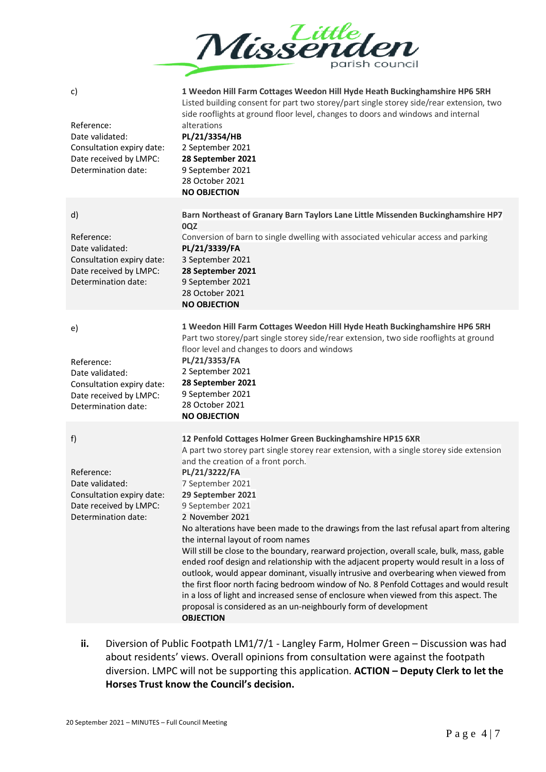

**1 Weedon Hill Farm Cottages Weedon Hill Hyde Heath Buckinghamshire HP6 5RH** Listed building consent for part two storey/part single storey side/rear extension, two side rooflights at ground floor level, changes to doors and windows and internal

Reference: Date validated: Consultation expiry date: Date received by LMPC: Determination date: alterations **PL/21/3354/HB** 2 September 2021 **28 September 2021** 9 September 2021 28 October 2021 **NO OBJECTION** d) Reference: Date validated: Consultation expiry date: Date received by LMPC: Determination date: **Barn Northeast of Granary Barn Taylors Lane Little Missenden Buckinghamshire HP7 0QZ** Conversion of barn to single dwelling with associated vehicular access and parking **PL/21/3339/FA** 3 September 2021 **28 September 2021** 9 September 2021 28 October 2021 **NO OBJECTION** e) Reference: Date validated: Consultation expiry date: Date received by LMPC: Determination date: **1 Weedon Hill Farm Cottages Weedon Hill Hyde Heath Buckinghamshire HP6 5RH** Part two storey/part single storey side/rear extension, two side rooflights at ground floor level and changes to doors and windows **PL/21/3353/FA** 2 September 2021 **28 September 2021** 9 September 2021 28 October 2021 **NO OBJECTION** f) Reference: Date validated: Consultation expiry date: Date received by LMPC: Determination date: **12 Penfold Cottages Holmer Green Buckinghamshire HP15 6XR** A part two storey part single storey rear extension, with a single storey side extension and the creation of a front porch. **PL/21/3222/FA** 7 September 2021 **29 September 2021** 9 September 2021 2 November 2021 No alterations have been made to the drawings from the last refusal apart from altering the internal layout of room names Will still be close to the boundary, rearward projection, overall scale, bulk, mass, gable ended roof design and relationship with the adjacent property would result in a loss of outlook, would appear dominant, visually intrusive and overbearing when viewed from the first floor north facing bedroom window of No. 8 Penfold Cottages and would result in a loss of light and increased sense of enclosure when viewed from this aspect. The proposal is considered as an un-neighbourly form of development **OBJECTION**

**ii.** Diversion of Public Footpath LM1/7/1 - Langley Farm, Holmer Green – Discussion was had about residents' views. Overall opinions from consultation were against the footpath diversion. LMPC will not be supporting this application. **ACTION – Deputy Clerk to let the Horses Trust know the Council's decision.**

c)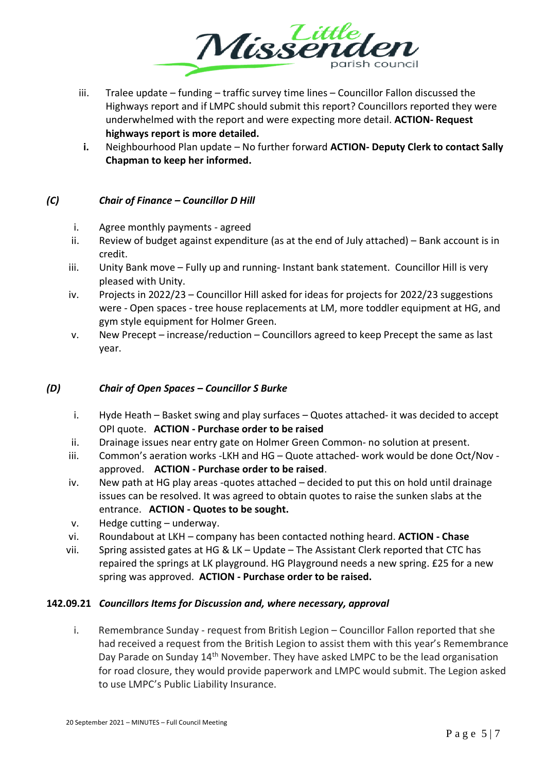

- iii. Tralee update funding traffic survey time lines Councillor Fallon discussed the Highways report and if LMPC should submit this report? Councillors reported they were underwhelmed with the report and were expecting more detail. **ACTION- Request highways report is more detailed.**
- **i.** Neighbourhood Plan update No further forward **ACTION- Deputy Clerk to contact Sally Chapman to keep her informed.**

### *(C) Chair of Finance – Councillor D Hill*

- i. Agree monthly payments agreed
- ii. Review of budget against expenditure (as at the end of July attached) Bank account is in credit.
- iii. Unity Bank move Fully up and running- Instant bank statement. Councillor Hill is very pleased with Unity.
- iv. Projects in 2022/23 Councillor Hill asked for ideas for projects for 2022/23 suggestions were - Open spaces - tree house replacements at LM, more toddler equipment at HG, and gym style equipment for Holmer Green.
- v. New Precept increase/reduction Councillors agreed to keep Precept the same as last year.

#### *(D) Chair of Open Spaces – Councillor S Burke*

- i. Hyde Heath Basket swing and play surfaces Quotes attached- it was decided to accept OPI quote. **ACTION - Purchase order to be raised**
- ii. Drainage issues near entry gate on Holmer Green Common- no solution at present.
- iii. Common's aeration works -LKH and HG Quote attached- work would be done Oct/Nov approved. **ACTION - Purchase order to be raised**.
- iv. New path at HG play areas -quotes attached decided to put this on hold until drainage issues can be resolved. It was agreed to obtain quotes to raise the sunken slabs at the entrance. **ACTION - Quotes to be sought.**
- v. Hedge cutting underway.
- vi. Roundabout at LKH company has been contacted nothing heard. **ACTION - Chase**
- vii. Spring assisted gates at HG & LK Update The Assistant Clerk reported that CTC has repaired the springs at LK playground. HG Playground needs a new spring. £25 for a new spring was approved. **ACTION - Purchase order to be raised.**

#### **142.09.21** *Councillors Items for Discussion and, where necessary, approval*

i. Remembrance Sunday - request from British Legion – Councillor Fallon reported that she had received a request from the British Legion to assist them with this year's Remembrance Day Parade on Sunday 14th November. They have asked LMPC to be the lead organisation for road closure, they would provide paperwork and LMPC would submit. The Legion asked to use LMPC's Public Liability Insurance.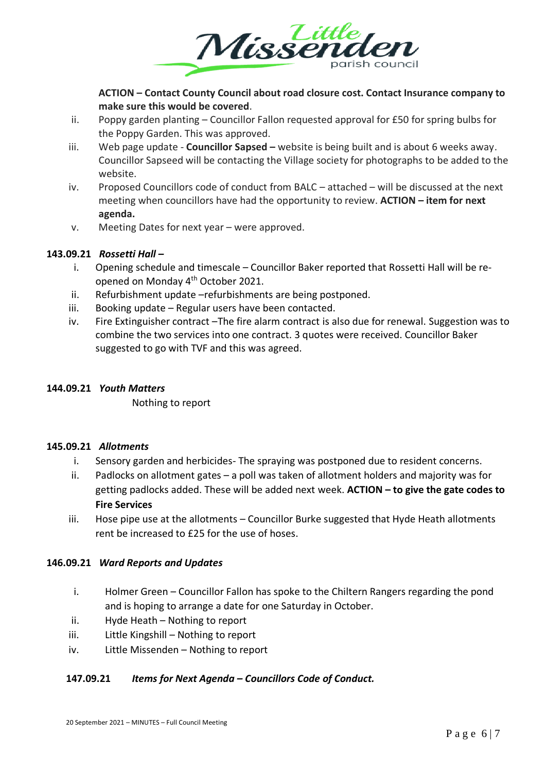

**ACTION – Contact County Council about road closure cost. Contact Insurance company to make sure this would be covered**.

- ii. Poppy garden planting Councillor Fallon requested approval for £50 for spring bulbs for the Poppy Garden. This was approved.
- iii. Web page update **Councillor Sapsed –** website is being built and is about 6 weeks away. Councillor Sapseed will be contacting the Village society for photographs to be added to the website.
- iv. Proposed Councillors code of conduct from BALC attached will be discussed at the next meeting when councillors have had the opportunity to review. **ACTION – item for next agenda.**
- v. Meeting Dates for next year were approved.

### **143.09.21** *Rossetti Hall –*

- i. Opening schedule and timescale Councillor Baker reported that Rossetti Hall will be reopened on Monday 4th October 2021.
- ii. Refurbishment update –refurbishments are being postponed.
- iii. Booking update Regular users have been contacted.
- iv. Fire Extinguisher contract –The fire alarm contract is also due for renewal. Suggestion was to combine the two services into one contract. 3 quotes were received. Councillor Baker suggested to go with TVF and this was agreed.

#### **144.09.21** *Youth Matters*

Nothing to report

#### **145.09.21** *Allotments*

- i. Sensory garden and herbicides- The spraying was postponed due to resident concerns.
- ii. Padlocks on allotment gates a poll was taken of allotment holders and majority was for getting padlocks added. These will be added next week. **ACTION – to give the gate codes to Fire Services**
- iii. Hose pipe use at the allotments Councillor Burke suggested that Hyde Heath allotments rent be increased to £25 for the use of hoses.

#### **146.09.21** *Ward Reports and Updates*

- i. Holmer Green Councillor Fallon has spoke to the Chiltern Rangers regarding the pond and is hoping to arrange a date for one Saturday in October.
- ii. Hyde Heath Nothing to report
- iii. Little Kingshill Nothing to report
- iv. Little Missenden Nothing to report

## **147.09.21** *Items for Next Agenda – Councillors Code of Conduct.*